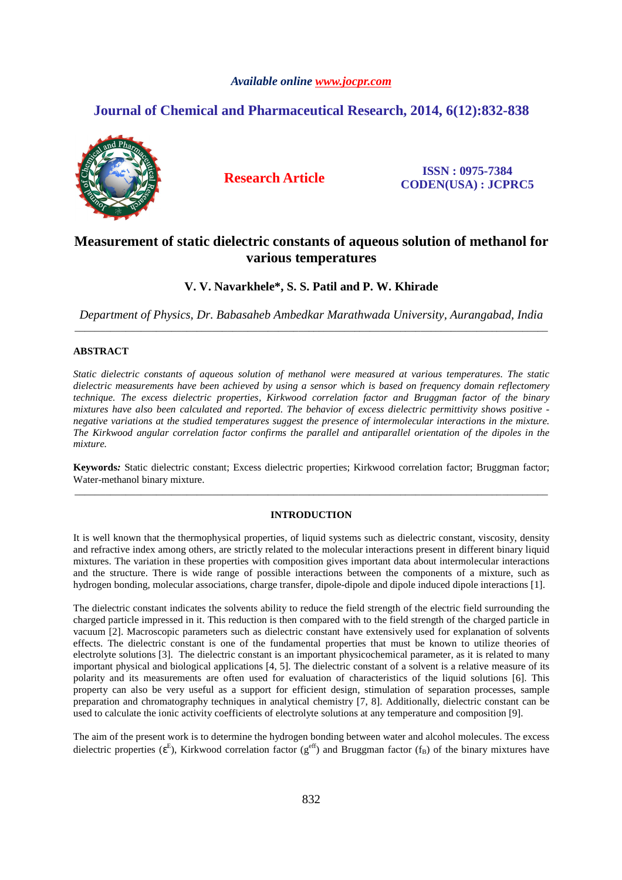# *Available online www.jocpr.com*

# **Journal of Chemical and Pharmaceutical Research, 2014, 6(12):832-838**



**Research Article ISSN : 0975-7384 CODEN(USA) : JCPRC5**

# **Measurement of static dielectric constants of aqueous solution of methanol for various temperatures**

# **V. V. Navarkhele\*, S. S. Patil and P. W. Khirade**

*Department of Physics, Dr. Babasaheb Ambedkar Marathwada University, Aurangabad, India*  \_\_\_\_\_\_\_\_\_\_\_\_\_\_\_\_\_\_\_\_\_\_\_\_\_\_\_\_\_\_\_\_\_\_\_\_\_\_\_\_\_\_\_\_\_\_\_\_\_\_\_\_\_\_\_\_\_\_\_\_\_\_\_\_\_\_\_\_\_\_\_\_\_\_\_\_\_\_\_\_\_\_\_\_\_\_\_\_\_\_\_\_\_

# **ABSTRACT**

*Static dielectric constants of aqueous solution of methanol were measured at various temperatures. The static dielectric measurements have been achieved by using a sensor which is based on frequency domain reflectomery technique. The excess dielectric properties, Kirkwood correlation factor and Bruggman factor of the binary mixtures have also been calculated and reported. The behavior of excess dielectric permittivity shows positive negative variations at the studied temperatures suggest the presence of intermolecular interactions in the mixture. The Kirkwood angular correlation factor confirms the parallel and antiparallel orientation of the dipoles in the mixture.* 

**Keywords***:* Static dielectric constant; Excess dielectric properties; Kirkwood correlation factor; Bruggman factor; Water-methanol binary mixture. \_\_\_\_\_\_\_\_\_\_\_\_\_\_\_\_\_\_\_\_\_\_\_\_\_\_\_\_\_\_\_\_\_\_\_\_\_\_\_\_\_\_\_\_\_\_\_\_\_\_\_\_\_\_\_\_\_\_\_\_\_\_\_\_\_\_\_\_\_\_\_\_\_\_\_\_\_\_\_\_\_\_\_\_\_\_\_\_\_\_\_\_\_

## **INTRODUCTION**

It is well known that the thermophysical properties, of liquid systems such as dielectric constant, viscosity, density and refractive index among others, are strictly related to the molecular interactions present in different binary liquid mixtures. The variation in these properties with composition gives important data about intermolecular interactions and the structure. There is wide range of possible interactions between the components of a mixture, such as hydrogen bonding, molecular associations, charge transfer, dipole-dipole and dipole induced dipole interactions [1].

The dielectric constant indicates the solvents ability to reduce the field strength of the electric field surrounding the charged particle impressed in it. This reduction is then compared with to the field strength of the charged particle in vacuum [2]. Macroscopic parameters such as dielectric constant have extensively used for explanation of solvents effects. The dielectric constant is one of the fundamental properties that must be known to utilize theories of electrolyte solutions [3]. The dielectric constant is an important physicochemical parameter, as it is related to many important physical and biological applications [4, 5]. The dielectric constant of a solvent is a relative measure of its polarity and its measurements are often used for evaluation of characteristics of the liquid solutions [6]. This property can also be very useful as a support for efficient design, stimulation of separation processes, sample preparation and chromatography techniques in analytical chemistry [7, 8]. Additionally, dielectric constant can be used to calculate the ionic activity coefficients of electrolyte solutions at any temperature and composition [9].

The aim of the present work is to determine the hydrogen bonding between water and alcohol molecules. The excess dielectric properties ( $\varepsilon$ <sup>E</sup>), Kirkwood correlation factor ( $g^{\text{eff}}$ ) and Bruggman factor ( $f_B$ ) of the binary mixtures have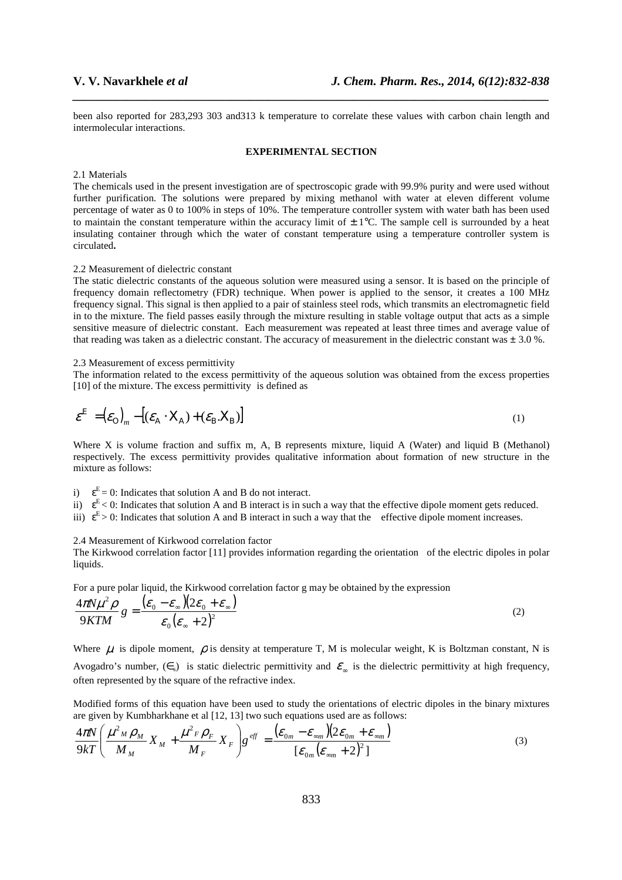been also reported for 283,293 303 and313 k temperature to correlate these values with carbon chain length and intermolecular interactions.

*\_\_\_\_\_\_\_\_\_\_\_\_\_\_\_\_\_\_\_\_\_\_\_\_\_\_\_\_\_\_\_\_\_\_\_\_\_\_\_\_\_\_\_\_\_\_\_\_\_\_\_\_\_\_\_\_\_\_\_\_\_\_\_\_\_\_\_\_\_\_\_\_\_\_\_\_\_\_*

#### **EXPERIMENTAL SECTION**

#### 2.1 Materials

The chemicals used in the present investigation are of spectroscopic grade with 99.9% purity and were used without further purification. The solutions were prepared by mixing methanol with water at eleven different volume percentage of water as 0 to 100% in steps of 10%. The temperature controller system with water bath has been used to maintain the constant temperature within the accuracy limit of  $\pm$  1°C. The sample cell is surrounded by a heat insulating container through which the water of constant temperature using a temperature controller system is circulated**.**

### 2.2 Measurement of dielectric constant

The static dielectric constants of the aqueous solution were measured using a sensor. It is based on the principle of frequency domain reflectometry (FDR) technique. When power is applied to the sensor, it creates a 100 MHz frequency signal. This signal is then applied to a pair of stainless steel rods, which transmits an electromagnetic field in to the mixture. The field passes easily through the mixture resulting in stable voltage output that acts as a simple sensitive measure of dielectric constant. Each measurement was repeated at least three times and average value of that reading was taken as a dielectric constant. The accuracy of measurement in the dielectric constant was  $\pm 3.0$  %.

#### 2.3 Measurement of excess permittivity

The information related to the excess permittivity of the aqueous solution was obtained from the excess properties [10] of the mixture. The excess permittivity is defined as

$$
\varepsilon^{\mathbb{E}} = (\varepsilon_0)_m - [(\varepsilon_A \cdot X_A) + (\varepsilon_B X_B)] \tag{1}
$$

Where X is volume fraction and suffix m, A, B represents mixture, liquid A (Water) and liquid B (Methanol) respectively. The excess permittivity provides qualitative information about formation of new structure in the mixture as follows:

- i)  $\varepsilon^E = 0$ : Indicates that solution A and B do not interact.
- ii)  $\varepsilon^E$  < 0: Indicates that solution A and B interact is in such a way that the effective dipole moment gets reduced.
- iii)  $\varepsilon^E > 0$ : Indicates that solution A and B interact in such a way that the effective dipole moment increases.

#### 2.4 Measurement of Kirkwood correlation factor

The Kirkwood correlation factor [11] provides information regarding the orientation of the electric dipoles in polar liquids.

For a pure polar liquid, the Kirkwood correlation factor g may be obtained by the expression

$$
\frac{4\pi N\mu^2 \rho}{9KTM} g = \frac{(\varepsilon_0 - \varepsilon_\infty)(2\varepsilon_0 + \varepsilon_\infty)}{\varepsilon_0(\varepsilon_\infty + 2)^2}
$$
(2)

Where  $\mu$  is dipole moment,  $\rho$  is density at temperature T, M is molecular weight. K is Boltzman constant, N is Avogadro's number,  $(\epsilon_s)$  is static dielectric permittivity and  $\epsilon_s$  is the dielectric permittivity at high frequency, often represented by the square of the refractive index.

Modified forms of this equation have been used to study the orientations of electric dipoles in the binary mixtures are given by Kumbharkhane et al [12, 13] two such equations used are as follows:

$$
\frac{4\pi N}{9kT} \left( \frac{\mu^2{}_M \rho{}_M}{M{}_M} X{}_M + \frac{\mu^2{}_F \rho{}_F}{M{}_F} X{}_F \right) g^{eff} = \frac{(\varepsilon_{0m} - \varepsilon_{\inftym})(2\varepsilon_{0m} + \varepsilon_{\inftym})}{\left[ \varepsilon_{0m} (\varepsilon_{\inftym} + 2)^2 \right]}
$$
(3)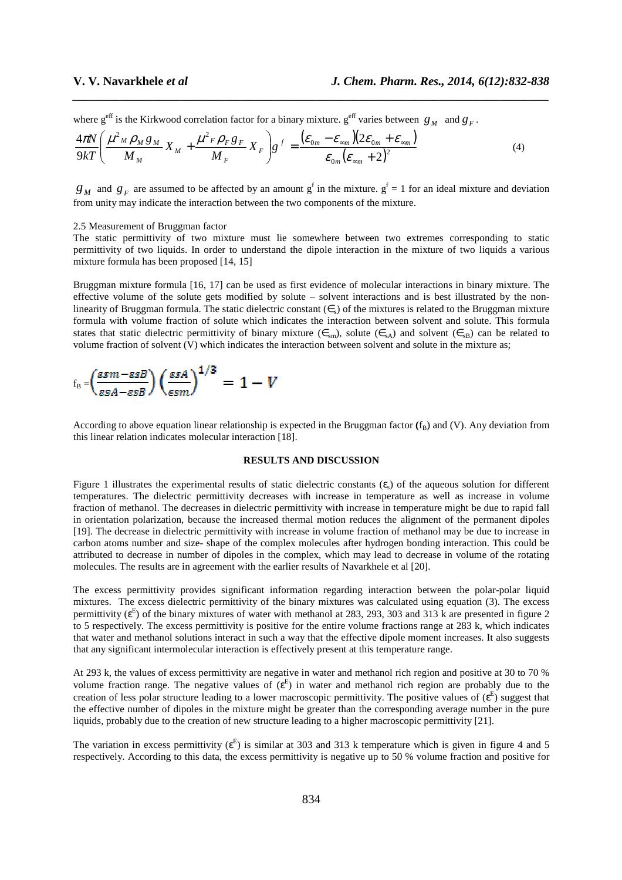where  $g^{\text{eff}}$  is the Kirkwood correlation factor for a binary mixture.  $g^{\text{eff}}$  varies between  $g_M$  and  $g_F$ .

$$
\frac{4\pi N}{9kT} \left( \frac{\mu^2{}_M \rho{}_M g{}_M}{M{}_M} X{}_M + \frac{\mu^2{}_F \rho{}_F g{}_F}{M{}_F} X{}_F \right) g^f = \frac{(\varepsilon_{0m} - \varepsilon_{\inftym})(2\varepsilon_{0m} + \varepsilon_{\inftym})}{\varepsilon_{0m}(\varepsilon_{\inftym} + 2)^2}
$$
(4)

 $g_M$  and  $g_F$  are assumed to be affected by an amount  $g^f$  in the mixture.  $g^f = 1$  for an ideal mixture and deviation from unity may indicate the interaction between the two components of the mixture.

*\_\_\_\_\_\_\_\_\_\_\_\_\_\_\_\_\_\_\_\_\_\_\_\_\_\_\_\_\_\_\_\_\_\_\_\_\_\_\_\_\_\_\_\_\_\_\_\_\_\_\_\_\_\_\_\_\_\_\_\_\_\_\_\_\_\_\_\_\_\_\_\_\_\_\_\_\_\_*

## 2.5 Measurement of Bruggman factor

The static permittivity of two mixture must lie somewhere between two extremes corresponding to static permittivity of two liquids. In order to understand the dipole interaction in the mixture of two liquids a various mixture formula has been proposed [14, 15]

Bruggman mixture formula [16, 17] can be used as first evidence of molecular interactions in binary mixture. The effective volume of the solute gets modified by solute – solvent interactions and is best illustrated by the nonlinearity of Bruggman formula. The static dielectric constant  $(\epsilon_s)$  of the mixtures is related to the Bruggman mixture formula with volume fraction of solute which indicates the interaction between solvent and solute. This formula states that static dielectric permittivity of binary mixture ( $\epsilon_{\rm sm}$ ), solute ( $\epsilon_{\rm SA}$ ) and solvent ( $\epsilon_{\rm SB}$ ) can be related to volume fraction of solvent (V) which indicates the interaction between solvent and solute in the mixture as;

$$
f_{\rm B} = \left(\frac{\text{gsm}-\text{gssB}}{\text{gsa}-\text{gssB}}\right) \left(\frac{\text{gsa}}{\text{gsm}}\right)^{1/3} = 1-V
$$

According to above equation linear relationship is expected in the Bruggman factor  $(f_R)$  and  $(V)$ . Any deviation from this linear relation indicates molecular interaction [18].

### **RESULTS AND DISCUSSION**

Figure 1 illustrates the experimental results of static dielectric constants  $(\epsilon_s)$  of the aqueous solution for different temperatures. The dielectric permittivity decreases with increase in temperature as well as increase in volume fraction of methanol. The decreases in dielectric permittivity with increase in temperature might be due to rapid fall in orientation polarization, because the increased thermal motion reduces the alignment of the permanent dipoles [19]. The decrease in dielectric permittivity with increase in volume fraction of methanol may be due to increase in carbon atoms number and size- shape of the complex molecules after hydrogen bonding interaction. This could be attributed to decrease in number of dipoles in the complex, which may lead to decrease in volume of the rotating molecules. The results are in agreement with the earlier results of Navarkhele et al [20].

The excess permittivity provides significant information regarding interaction between the polar-polar liquid mixtures. The excess dielectric permittivity of the binary mixtures was calculated using equation (3). The excess permittivity  $(\varepsilon^E)$  of the binary mixtures of water with methanol at 283, 293, 303 and 313 k are presented in figure 2 to 5 respectively. The excess permittivity is positive for the entire volume fractions range at 283 k, which indicates that water and methanol solutions interact in such a way that the effective dipole moment increases. It also suggests that any significant intermolecular interaction is effectively present at this temperature range.

At 293 k, the values of excess permittivity are negative in water and methanol rich region and positive at 30 to 70 % volume fraction range. The negative values of  $(\epsilon^E)$  in water and methanol rich region are probably due to the creation of less polar structure leading to a lower macroscopic permittivity. The positive values of  $(\epsilon^E)$  suggest that the effective number of dipoles in the mixture might be greater than the corresponding average number in the pure liquids, probably due to the creation of new structure leading to a higher macroscopic permittivity [21].

The variation in excess permittivity ( $\varepsilon$ <sup>E</sup>) is similar at 303 and 313 k temperature which is given in figure 4 and 5 respectively. According to this data, the excess permittivity is negative up to 50 % volume fraction and positive for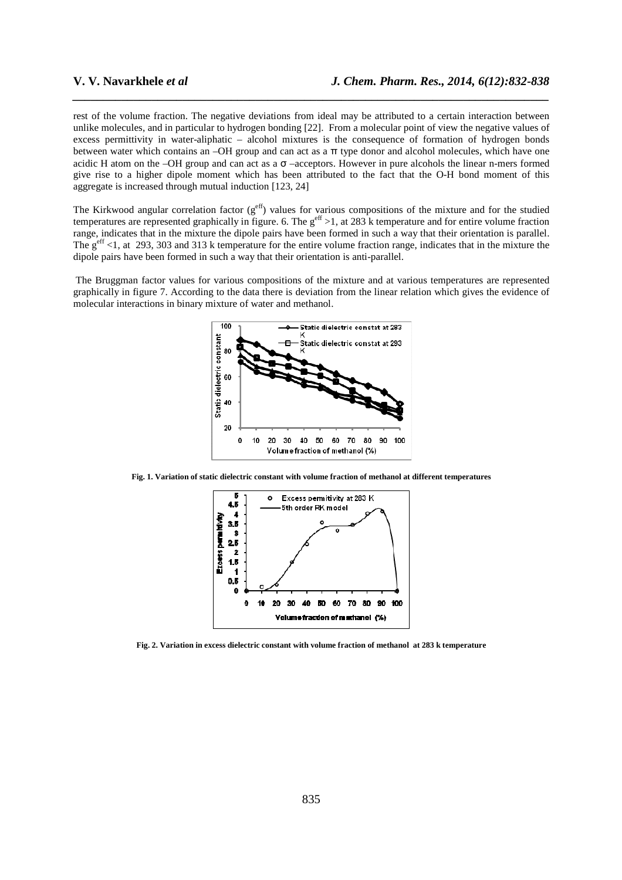rest of the volume fraction. The negative deviations from ideal may be attributed to a certain interaction between unlike molecules, and in particular to hydrogen bonding [22]. From a molecular point of view the negative values of excess permittivity in water-aliphatic – alcohol mixtures is the consequence of formation of hydrogen bonds between water which contains an –OH group and can act as a π type donor and alcohol molecules, which have one acidic H atom on the –OH group and can act as a  $\sigma$  –acceptors. However in pure alcohols the linear n-mers formed give rise to a higher dipole moment which has been attributed to the fact that the O-H bond moment of this aggregate is increased through mutual induction [123, 24]

*\_\_\_\_\_\_\_\_\_\_\_\_\_\_\_\_\_\_\_\_\_\_\_\_\_\_\_\_\_\_\_\_\_\_\_\_\_\_\_\_\_\_\_\_\_\_\_\_\_\_\_\_\_\_\_\_\_\_\_\_\_\_\_\_\_\_\_\_\_\_\_\_\_\_\_\_\_\_*

The Kirkwood angular correlation factor  $(g<sup>eff</sup>)$  values for various compositions of the mixture and for the studied temperatures are represented graphically in figure. 6. The  $g<sup>eff</sup> > 1$ , at 283 k temperature and for entire volume fraction range, indicates that in the mixture the dipole pairs have been formed in such a way that their orientation is parallel. The  $g<sup>eff</sup> < 1$ , at 293, 303 and 313 k temperature for the entire volume fraction range, indicates that in the mixture the dipole pairs have been formed in such a way that their orientation is anti-parallel.

 The Bruggman factor values for various compositions of the mixture and at various temperatures are represented graphically in figure 7. According to the data there is deviation from the linear relation which gives the evidence of molecular interactions in binary mixture of water and methanol.



**Fig. 1. Variation of static dielectric constant with volume fraction of methanol at different temperatures** 



**Fig. 2. Variation in excess dielectric constant with volume fraction of methanol at 283 k temperature**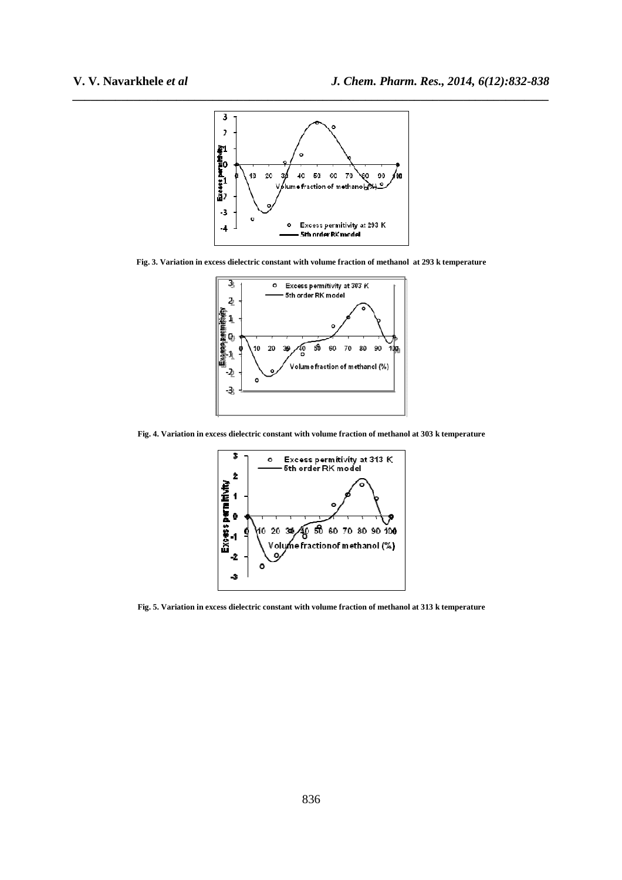

**Fig. 3. Variation in excess dielectric constant with volume fraction of methanol at 293 k temperature**



**Fig. 4. Variation in excess dielectric constant with volume fraction of methanol at 303 k temperature** 



**Fig. 5. Variation in excess dielectric constant with volume fraction of methanol at 313 k temperature**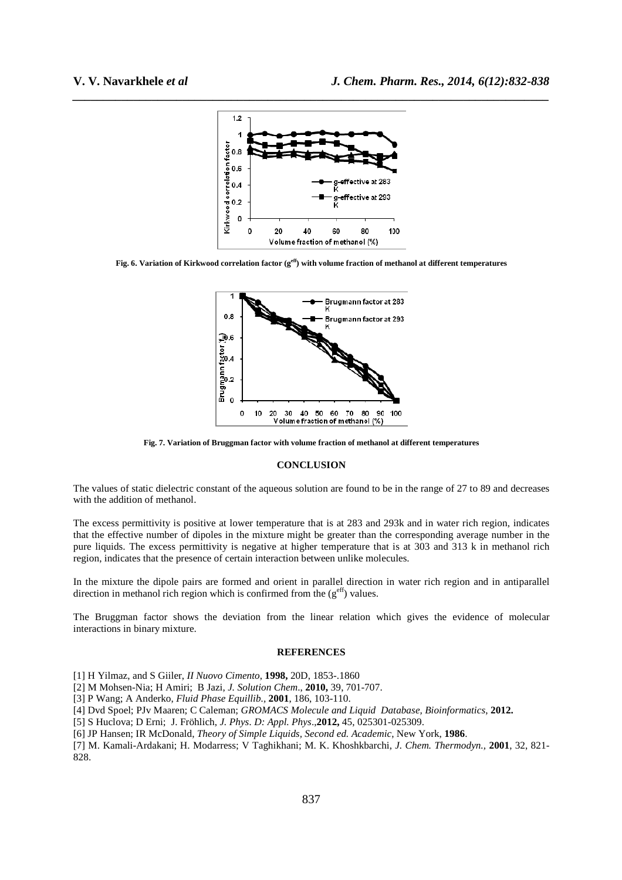

*\_\_\_\_\_\_\_\_\_\_\_\_\_\_\_\_\_\_\_\_\_\_\_\_\_\_\_\_\_\_\_\_\_\_\_\_\_\_\_\_\_\_\_\_\_\_\_\_\_\_\_\_\_\_\_\_\_\_\_\_\_\_\_\_\_\_\_\_\_\_\_\_\_\_\_\_\_\_*

**Fig. 6. Variation of Kirkwood correlation factor (geff) with volume fraction of methanol at different temperatures** 



**Fig. 7. Variation of Bruggman factor with volume fraction of methanol at different temperatures** 

### **CONCLUSION**

The values of static dielectric constant of the aqueous solution are found to be in the range of 27 to 89 and decreases with the addition of methanol.

The excess permittivity is positive at lower temperature that is at 283 and 293k and in water rich region, indicates that the effective number of dipoles in the mixture might be greater than the corresponding average number in the pure liquids. The excess permittivity is negative at higher temperature that is at 303 and 313 k in methanol rich region, indicates that the presence of certain interaction between unlike molecules.

In the mixture the dipole pairs are formed and orient in parallel direction in water rich region and in antiparallel direction in methanol rich region which is confirmed from the  $(g<sup>eff</sup>)$  values.

The Bruggman factor shows the deviation from the linear relation which gives the evidence of molecular interactions in binary mixture.

#### **REFERENCES**

- [1] H Yilmaz, and S Giiler, *II Nuovo Cimento*, **1998,** 20D, 1853-.1860
- [2] M Mohsen-Nia; H Amiri; B Jazi, *J. Solution Chem*., **2010,** 39, 701-707.
- [3] P Wang; A Anderko, *Fluid Phase Equillib.,* **2001**, 186, 103-110.
- [4] Dvd Spoel; PJv Maaren; C Caleman; *GROMACS Molecule and Liquid Database, Bioinformatics*, **2012.**
- [5] S Huclova; D Erni; J. Fröhlich, *J. Phys. D: Appl. Phys*.,**2012,** 45, 025301-025309.
- [6] JP Hansen; IR McDonald, *Theory of Simple Liquids, Second ed. Academic*, New York, **1986**.

[7] M. Kamali-Ardakani; H. Modarress; V Taghikhani; M. K. Khoshkbarchi, *J. Chem. Thermodyn.,* **2001**, 32, 821- 828.